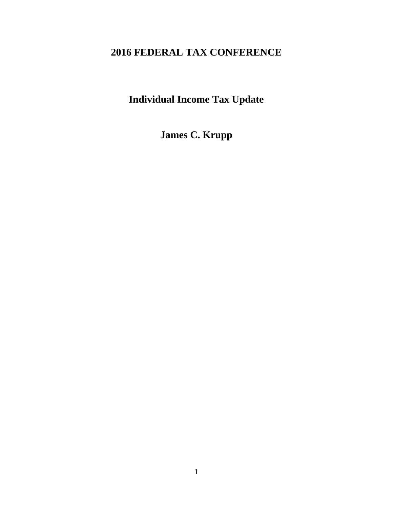# **2016 FEDERAL TAX CONFERENCE**

**Individual Income Tax Update** 

**James C. Krupp**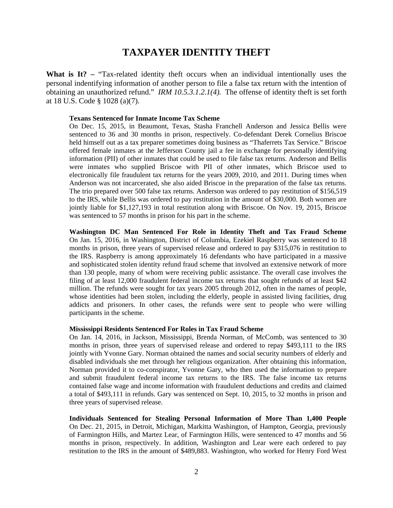## **TAXPAYER IDENTITY THEFT**

**What is It? –** "Tax-related identity theft occurs when an individual intentionally uses the personal indentifying information of another person to file a false tax return with the intention of obtaining an unauthorized refund." *IRM 10.5.3.1.2.1(4).* The offense of identity theft is set forth at 18 U.S. Code § 1028 (a)(7).

#### **Texans Sentenced for Inmate Income Tax Scheme**

On Dec. 15, 2015, in Beaumont, Texas, Stasha Franchell Anderson and Jessica Bellis were sentenced to 36 and 30 months in prison, respectively. Co-defendant Derek Cornelius Briscoe held himself out as a tax preparer sometimes doing business as "Thaferrets Tax Service." Briscoe offered female inmates at the Jefferson County jail a fee in exchange for personally identifying information (PII) of other inmates that could be used to file false tax returns. Anderson and Bellis were inmates who supplied Briscoe with PII of other inmates, which Briscoe used to electronically file fraudulent tax returns for the years 2009, 2010, and 2011. During times when Anderson was not incarcerated, she also aided Briscoe in the preparation of the false tax returns. The trio prepared over 500 false tax returns. Anderson was ordered to pay restitution of \$156,519 to the IRS, while Bellis was ordered to pay restitution in the amount of \$30,000. Both women are jointly liable for \$1,127,193 in total restitution along with Briscoe. On Nov. 19, 2015, Briscoe was sentenced to 57 months in prison for his part in the scheme.

**Washington DC Man Sentenced For Role in Identity Theft and Tax Fraud Scheme** On Jan. 15, 2016, in Washington, District of Columbia, Ezekiel Raspberry was sentenced to 18 months in prison, three years of supervised release and ordered to pay \$315,076 in restitution to the IRS. Raspberry is among approximately 16 defendants who have participated in a massive and sophisticated stolen identity refund fraud scheme that involved an extensive network of more than 130 people, many of whom were receiving public assistance. The overall case involves the filing of at least 12,000 fraudulent federal income tax returns that sought refunds of at least \$42 million. The refunds were sought for tax years 2005 through 2012, often in the names of people, whose identities had been stolen, including the elderly, people in assisted living facilities, drug addicts and prisoners. In other cases, the refunds were sent to people who were willing participants in the scheme.

#### **Mississippi Residents Sentenced For Roles in Tax Fraud Scheme**

On Jan. 14, 2016, in Jackson, Mississippi, Brenda Norman, of McComb, was sentenced to 30 months in prison, three years of supervised release and ordered to repay \$493,111 to the IRS jointly with Yvonne Gary. Norman obtained the names and social security numbers of elderly and disabled individuals she met through her religious organization. After obtaining this information, Norman provided it to co-conspirator, Yvonne Gary, who then used the information to prepare and submit fraudulent federal income tax returns to the IRS. The false income tax returns contained false wage and income information with fraudulent deductions and credits and claimed a total of \$493,111 in refunds. Gary was sentenced on Sept. 10, 2015, to 32 months in prison and three years of supervised release.

**Individuals Sentenced for Stealing Personal Information of More Than 1,400 People** On Dec. 21, 2015, in Detroit, Michigan, Markitta Washington, of Hampton, Georgia, previously of Farmington Hills, and Martez Lear, of Farmington Hills, were sentenced to 47 months and 56 months in prison, respectively. In addition, Washington and Lear were each ordered to pay restitution to the IRS in the amount of \$489,883. Washington, who worked for Henry Ford West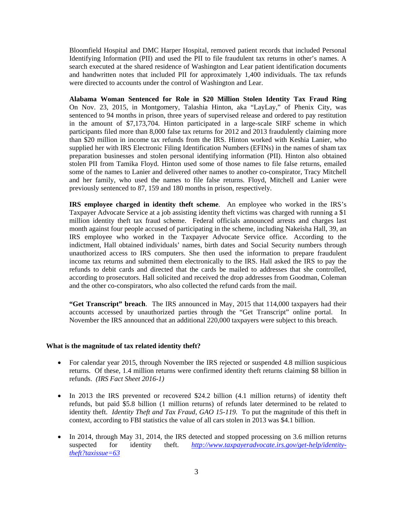Bloomfield Hospital and DMC Harper Hospital, removed patient records that included Personal Identifying Information (PII) and used the PII to file fraudulent tax returns in other's names. A search executed at the shared residence of Washington and Lear patient identification documents and handwritten notes that included PII for approximately 1,400 individuals. The tax refunds were directed to accounts under the control of Washington and Lear.

**Alabama Woman Sentenced for Role in \$20 Million Stolen Identity Tax Fraud Ring** On Nov. 23, 2015, in Montgomery, Talashia Hinton, aka "LayLay," of Phenix City, was sentenced to 94 months in prison, three years of supervised release and ordered to pay restitution in the amount of \$7,173,704. Hinton participated in a large-scale SIRF scheme in which participants filed more than 8,000 false tax returns for 2012 and 2013 fraudulently claiming more than \$20 million in income tax refunds from the IRS. Hinton worked with Keshia Lanier, who supplied her with IRS Electronic Filing Identification Numbers (EFINs) in the names of sham tax preparation businesses and stolen personal identifying information (PII). Hinton also obtained stolen PII from Tamika Floyd. Hinton used some of those names to file false returns, emailed some of the names to Lanier and delivered other names to another co-conspirator, Tracy Mitchell and her family, who used the names to file false returns. Floyd, Mitchell and Lanier were previously sentenced to 87, 159 and 180 months in prison, respectively.

**IRS employee charged in identity theft scheme**. An employee who worked in the IRS's Taxpayer Advocate Service at a job assisting identity theft victims was charged with running a \$1 million identity theft tax fraud scheme. Federal officials announced arrests and charges last month against four people accused of participating in the scheme, including Nakeisha Hall, 39, an IRS employee who worked in the Taxpayer Advocate Service office. According to the indictment, Hall obtained individuals' names, birth dates and Social Security numbers through unauthorized access to IRS computers. She then used the information to prepare fraudulent income tax returns and submitted them electronically to the IRS. Hall asked the IRS to pay the refunds to debit cards and directed that the cards be mailed to addresses that she controlled, according to prosecutors. Hall solicited and received the drop addresses from Goodman, Coleman and the other co-conspirators, who also collected the refund cards from the mail.

**"Get Transcript" breach**. The IRS announced in May, 2015 that 114,000 taxpayers had their accounts accessed by unauthorized parties through the "Get Transcript" online portal. In November the IRS announced that an additional 220,000 taxpayers were subject to this breach.

## **What is the magnitude of tax related identity theft?**

- For calendar year 2015, through November the IRS rejected or suspended 4.8 million suspicious returns. Of these, 1.4 million returns were confirmed identity theft returns claiming \$8 billion in refunds.*(IRS Fact Sheet 2016-1)*
- In 2013 the IRS prevented or recovered \$24.2 billion (4.1 million returns) of identity theft refunds, but paid \$5.8 billion (1 million returns) of refunds later determined to be related to identity theft. *Identity Theft and Tax Fraud, GAO 15-119.* To put the magnitude of this theft in context, according to FBI statistics the value of all cars stolen in 2013 was \$4.1 billion.
- In 2014, through May 31, 2014, the IRS detected and stopped processing on 3.6 million returns suspected for identity theft. *http://www.taxpayeradvocate.irs.gov/get-help/identitytheft?taxissue=63*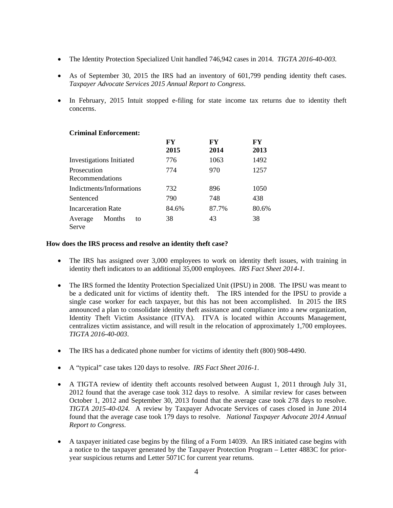- The Identity Protection Specialized Unit handled 746,942 cases in 2014. *TIGTA 2016-40-003.*
- As of September 30, 2015 the IRS had an inventory of 601,799 pending identity theft cases. *Taxpayer Advocate Services 2015 Annual Report to Congress*.
- In February, 2015 Intuit stopped e-filing for state income tax returns due to identity theft concerns.

## **Criminal Enforcement:**

|                                  | FY    | FY    | FY    |
|----------------------------------|-------|-------|-------|
|                                  | 2015  | 2014  | 2013  |
| <b>Investigations Initiated</b>  | 776   | 1063  | 1492  |
| Prosecution                      | 774   | 970   | 1257  |
| Recommendations                  |       |       |       |
| Indictments/Informations         | 732   | 896   | 1050  |
| Sentenced                        | 790   | 748   | 438   |
| <b>Incarceration Rate</b>        | 84.6% | 87.7% | 80.6% |
| Months<br>Average<br>to<br>Serve | 38    | 43    | 38    |

## **How does the IRS process and resolve an identity theft case?**

- The IRS has assigned over 3,000 employees to work on identity theft issues, with training in identity theft indicators to an additional 35,000 employees. *IRS Fact Sheet 2014-1*.
- The IRS formed the Identity Protection Specialized Unit (IPSU) in 2008. The IPSU was meant to be a dedicated unit for victims of identity theft. The IRS intended for the IPSU to provide a single case worker for each taxpayer, but this has not been accomplished. In 2015 the IRS announced a plan to consolidate identity theft assistance and compliance into a new organization, Identity Theft Victim Assistance (ITVA). ITVA is located within Accounts Management, centralizes victim assistance, and will result in the relocation of approximately 1,700 employees. *TIGTA 2016-40-003*.
- The IRS has a dedicated phone number for victims of identity theft (800) 908-4490.
- A "typical" case takes 120 days to resolve. *IRS Fact Sheet 2016-1*.
- A TIGTA review of identity theft accounts resolved between August 1, 2011 through July 31, 2012 found that the average case took 312 days to resolve. A similar review for cases between October 1, 2012 and September 30, 2013 found that the average case took 278 days to resolve. *TIGTA 2015-40-024.* A review by Taxpayer Advocate Services of cases closed in June 2014 found that the average case took 179 days to resolve. *National Taxpayer Advocate 2014 Annual Report to Congress*.
- A taxpayer initiated case begins by the filing of a Form 14039. An IRS initiated case begins with a notice to the taxpayer generated by the Taxpayer Protection Program – Letter 4883C for prioryear suspicious returns and Letter 5071C for current year returns.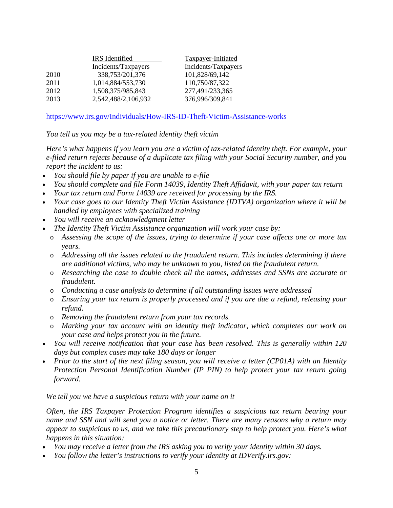|      | IRS Identified      | <b>Taxpayer-Initiated</b> |  |
|------|---------------------|---------------------------|--|
|      | Incidents/Taxpayers | Incidents/Taxpayers       |  |
| 2010 | 338,753/201,376     | 101,828/69,142            |  |
| 2011 | 1,014,884/553,730   | 110,750/87,322            |  |
| 2012 | 1,508,375/985,843   | 277,491/233,365           |  |
| 2013 | 2,542,488/2,106,932 | 376,996/309,841           |  |

https://www.irs.gov/Individuals/How-IRS-ID-Theft-Victim-Assistance-works

*You tell us you may be a tax-related identity theft victim* 

*Here's what happens if you learn you are a victim of tax-related identity theft. For example, your e-filed return rejects because of a duplicate tax filing with your Social Security number, and you report the incident to us:* 

- *You should file by paper if you are unable to e-file*
- *You should complete and file Form 14039, Identity Theft Affidavit, with your paper tax return*
- *Your tax return and Form 14039 are received for processing by the IRS.*
- *Your case goes to our Identity Theft Victim Assistance (IDTVA) organization where it will be handled by employees with specialized training*
- *You will receive an acknowledgment letter*
- *The Identity Theft Victim Assistance organization will work your case by:* 
	- o *Assessing the scope of the issues, trying to determine if your case affects one or more tax years.*
	- o *Addressing all the issues related to the fraudulent return. This includes determining if there are additional victims, who may be unknown to you, listed on the fraudulent return.*
	- o *Researching the case to double check all the names, addresses and SSNs are accurate or fraudulent.*
	- o *Conducting a case analysis to determine if all outstanding issues were addressed*
	- o *Ensuring your tax return is properly processed and if you are due a refund, releasing your refund.*
	- o *Removing the fraudulent return from your tax records.*
	- o *Marking your tax account with an identity theft indicator, which completes our work on your case and helps protect you in the future.*
- *You will receive notification that your case has been resolved. This is generally within 120 days but complex cases may take 180 days or longer*
- *Prior to the start of the next filing season, you will receive a letter (CP01A) with an Identity Protection Personal Identification Number (IP PIN) to help protect your tax return going forward.*

*We tell you we have a suspicious return with your name on it* 

*Often, the IRS Taxpayer Protection Program identifies a suspicious tax return bearing your name and SSN and will send you a notice or letter. There are many reasons why a return may appear to suspicious to us, and we take this precautionary step to help protect you. Here's what happens in this situation:* 

- *You may receive a letter from the IRS asking you to verify your identity within 30 days.*
- *You follow the letter's instructions to verify your identity at IDVerify.irs.gov:*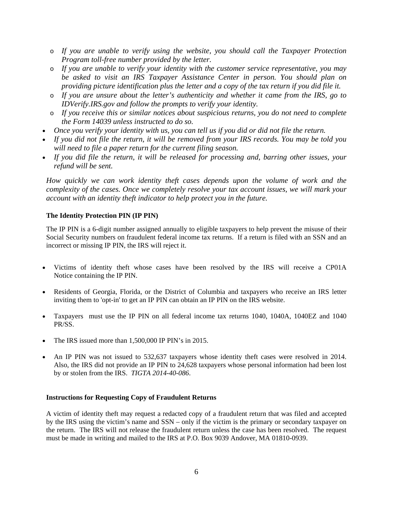- o *If you are unable to verify using the website, you should call the Taxpayer Protection Program toll-free number provided by the letter.*
- o *If you are unable to verify your identity with the customer service representative, you may be asked to visit an IRS Taxpayer Assistance Center in person. You should plan on providing picture identification plus the letter and a copy of the tax return if you did file it.*
- o *If you are unsure about the letter's authenticity and whether it came from the IRS, go to IDVerify.IRS.gov and follow the prompts to verify your identity.*
- o *If you receive this or similar notices about suspicious returns, you do not need to complete the Form 14039 unless instructed to do so.*
- *Once you verify your identity with us, you can tell us if you did or did not file the return.*
- *If you did not file the return, it will be removed from your IRS records. You may be told you will need to file a paper return for the current filing season.*
- *If you did file the return, it will be released for processing and, barring other issues, your refund will be sent.*

*How quickly we can work identity theft cases depends upon the volume of work and the complexity of the cases. Once we completely resolve your tax account issues, we will mark your account with an identity theft indicator to help protect you in the future.* 

## **The Identity Protection PIN (IP PIN)**

The IP PIN is a 6-digit number assigned annually to eligible taxpayers to help prevent the misuse of their Social Security numbers on fraudulent federal income tax returns. If a return is filed with an SSN and an incorrect or missing IP PIN, the IRS will reject it.

- Victims of identity theft whose cases have been resolved by the IRS will receive a CP01A Notice containing the IP PIN.
- Residents of Georgia, Florida, or the District of Columbia and taxpayers who receive an IRS letter inviting them to 'opt-in' to get an IP PIN can obtain an IP PIN on the IRS website.
- Taxpayers must use the IP PIN on all federal income tax returns 1040, 1040A, 1040EZ and 1040 PR/SS.
- The IRS issued more than 1,500,000 IP PIN's in 2015.
- An IP PIN was not issued to 532,637 taxpayers whose identity theft cases were resolved in 2014. Also, the IRS did not provide an IP PIN to 24,628 taxpayers whose personal information had been lost by or stolen from the IRS. *TIGTA 2014-40-086*.

## **Instructions for Requesting Copy of Fraudulent Returns**

A victim of identity theft may request a redacted copy of a fraudulent return that was filed and accepted by the IRS using the victim's name and SSN – only if the victim is the primary or secondary taxpayer on the return. The IRS will not release the fraudulent return unless the case has been resolved. The request must be made in writing and mailed to the IRS at P.O. Box 9039 Andover, MA 01810-0939.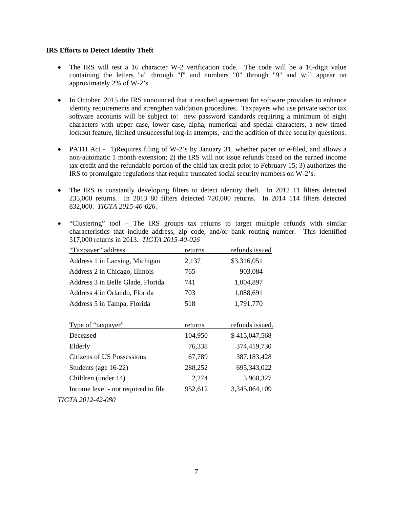## **IRS Efforts to Detect Identity Theft**

- The IRS will test a 16 character W-2 verification code. The code will be a 16-digit value containing the letters "a" through "f" and numbers "0" through "9" and will appear on approximately 2% of W-2's.
- In October, 2015 the IRS announced that it reached agreement for software providers to enhance identity requirements and strengthen validation procedures. Taxpayers who use private sector tax software accounts will be subject to: new password standards requiring a minimum of eight characters with upper case, lower case, alpha, numerical and special characters, a new timed lockout feature, limited unsuccessful log-in attempts, and the addition of three security questions.
- PATH Act 1)Requires filing of W-2's by January 31, whether paper or e-filed, and allows a non-automatic 1 month extension; 2) the IRS will not issue refunds based on the earned income tax credit and the refundable portion of the child tax credit prior to February 15; 3) authorizes the IRS to promulgate regulations that require truncated social security numbers on W-2's.
- The IRS is constantly developing filters to detect identity theft. In 2012 11 filters detected 235,000 returns. In 2013 80 filters detected 720,000 returns. In 2014 114 filters detected 832,000. *TIGTA 2015-40-026*.
- "Clustering" tool The IRS groups tax returns to target multiple refunds with similar characteristics that include address, zip code, and/or bank routing number. This identified 517,000 returns in 2013. *TIGTA 2015-40-026*

| "Taxpayer" address                  | returns | refunds issued  |
|-------------------------------------|---------|-----------------|
| Address 1 in Lansing, Michigan      | 2,137   | \$3,316,051     |
| Address 2 in Chicago, Illinois      | 765     | 903,084         |
| Address 3 in Belle Glade, Florida   | 741     | 1,004,897       |
| Address 4 in Orlando, Florida       | 703     | 1,088,691       |
| Address 5 in Tampa, Florida         | 518     | 1,791,770       |
| Type of "taxpayer"                  | returns | refunds issued. |
| Deceased                            | 104,950 | \$415,047,568   |
| Elderly                             | 76,338  | 374,419,730     |
| Citizens of US Possessions          | 67,789  | 387, 183, 428   |
| Students (age 16-22)                | 288,252 | 695, 343, 022   |
| Children (under 14)                 | 2,274   | 3,960,327       |
| Income level - not required to file | 952,612 | 3,345,064,109   |
| TIGTA 2012-42-080                   |         |                 |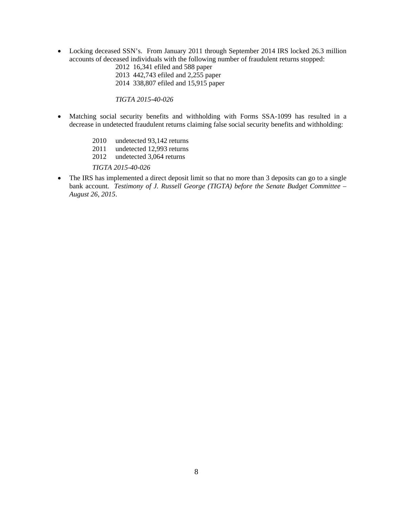Locking deceased SSN's. From January 2011 through September 2014 IRS locked 26.3 million accounts of deceased individuals with the following number of fraudulent returns stopped:

 2012 16,341 efiled and 588 paper 2013 442,743 efiled and 2,255 paper

2014 338,807 efiled and 15,915 paper

*TIGTA 2015-40-026* 

- Matching social security benefits and withholding with Forms SSA-1099 has resulted in a decrease in undetected fraudulent returns claiming false social security benefits and withholding:
	- 2010 undetected 93,142 returns
	- 2011 undetected 12,993 returns
	- 2012 undetected 3,064 returns

*TIGTA 2015-40-026*

• The IRS has implemented a direct deposit limit so that no more than 3 deposits can go to a single bank account. *Testimony of J. Russell George (TIGTA) before the Senate Budget Committee – August 26, 2015*.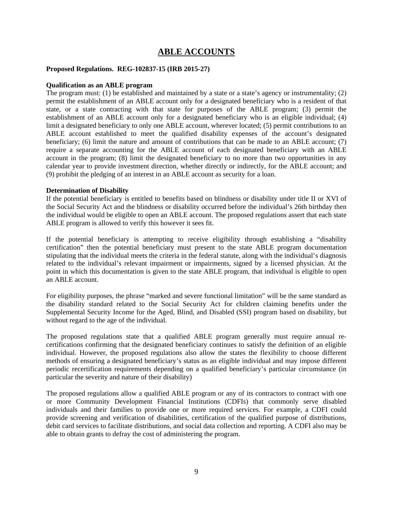## **ABLE ACCOUNTS**

#### **Proposed Regulations. REG-102837-15 (IRB 2015-27)**

#### **Qualification as an ABLE program**

The program must: (1) be established and maintained by a state or a state's agency or instrumentality; (2) permit the establishment of an ABLE account only for a designated beneficiary who is a resident of that state, or a state contracting with that state for purposes of the ABLE program; (3) permit the establishment of an ABLE account only for a designated beneficiary who is an eligible individual; (4) limit a designated beneficiary to only one ABLE account, wherever located; (5) permit contributions to an ABLE account established to meet the qualified disability expenses of the account's designated beneficiary; (6) limit the nature and amount of contributions that can be made to an ABLE account; (7) require a separate accounting for the ABLE account of each designated beneficiary with an ABLE account in the program; (8) limit the designated beneficiary to no more than two opportunities in any calendar year to provide investment direction, whether directly or indirectly, for the ABLE account; and (9) prohibit the pledging of an interest in an ABLE account as security for a loan.

#### **Determination of Disability**

If the potential beneficiary is entitled to benefits based on blindness or disability under title II or XVI of the Social Security Act and the blindness or disability occurred before the individual's 26th birthday then the individual would be eligible to open an ABLE account. The proposed regulations assert that each state ABLE program is allowed to verify this however it sees fit.

If the potential beneficiary is attempting to receive eligibility through establishing a "disability certification" then the potential beneficiary must present to the state ABLE program documentation stipulating that the individual meets the criteria in the federal statute, along with the individual's diagnosis related to the individual's relevant impairment or impairments, signed by a licensed physician. At the point in which this documentation is given to the state ABLE program, that individual is eligible to open an ABLE account.

For eligibility purposes, the phrase "marked and severe functional limitation" will be the same standard as the disability standard related to the Social Security Act for children claiming benefits under the Supplemental Security Income for the Aged, Blind, and Disabled (SSI) program based on disability, but without regard to the age of the individual.

The proposed regulations state that a qualified ABLE program generally must require annual recertifications confirming that the designated beneficiary continues to satisfy the definition of an eligible individual. However, the proposed regulations also allow the states the flexibility to choose different methods of ensuring a designated beneficiary's status as an eligible individual and may impose different periodic recertification requirements depending on a qualified beneficiary's particular circumstance (in particular the severity and nature of their disability)

The proposed regulations allow a qualified ABLE program or any of its contractors to contract with one or more Community Development Financial Institutions (CDFIs) that commonly serve disabled individuals and their families to provide one or more required services. For example, a CDFI could provide screening and verification of disabilities, certification of the qualified purpose of distributions, debit card services to facilitate distributions, and social data collection and reporting. A CDFI also may be able to obtain grants to defray the cost of administering the program.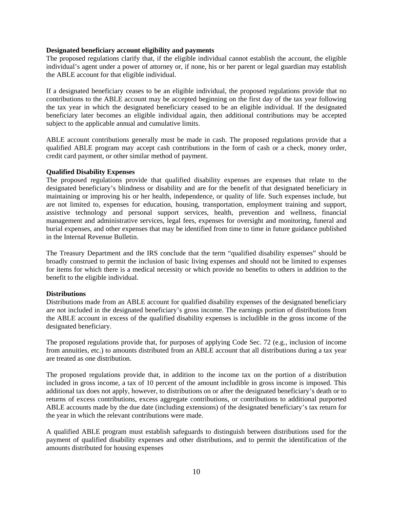#### **Designated beneficiary account eligibility and payments**

The proposed regulations clarify that, if the eligible individual cannot establish the account, the eligible individual's agent under a power of attorney or, if none, his or her parent or legal guardian may establish the ABLE account for that eligible individual.

If a designated beneficiary ceases to be an eligible individual, the proposed regulations provide that no contributions to the ABLE account may be accepted beginning on the first day of the tax year following the tax year in which the designated beneficiary ceased to be an eligible individual. If the designated beneficiary later becomes an eligible individual again, then additional contributions may be accepted subject to the applicable annual and cumulative limits.

ABLE account contributions generally must be made in cash. The proposed regulations provide that a qualified ABLE program may accept cash contributions in the form of cash or a check, money order, credit card payment, or other similar method of payment.

## **Qualified Disability Expenses**

The proposed regulations provide that qualified disability expenses are expenses that relate to the designated beneficiary's blindness or disability and are for the benefit of that designated beneficiary in maintaining or improving his or her health, independence, or quality of life. Such expenses include, but are not limited to, expenses for education, housing, transportation, employment training and support, assistive technology and personal support services, health, prevention and wellness, financial management and administrative services, legal fees, expenses for oversight and monitoring, funeral and burial expenses, and other expenses that may be identified from time to time in future guidance published in the Internal Revenue Bulletin.

The Treasury Department and the IRS conclude that the term "qualified disability expenses" should be broadly construed to permit the inclusion of basic living expenses and should not be limited to expenses for items for which there is a medical necessity or which provide no benefits to others in addition to the benefit to the eligible individual.

## **Distributions**

Distributions made from an ABLE account for qualified disability expenses of the designated beneficiary are not included in the designated beneficiary's gross income. The earnings portion of distributions from the ABLE account in excess of the qualified disability expenses is includible in the gross income of the designated beneficiary.

The proposed regulations provide that, for purposes of applying Code Sec. 72 (e.g., inclusion of income from annuities, etc.) to amounts distributed from an ABLE account that all distributions during a tax year are treated as one distribution.

The proposed regulations provide that, in addition to the income tax on the portion of a distribution included in gross income, a tax of 10 percent of the amount includible in gross income is imposed. This additional tax does not apply, however, to distributions on or after the designated beneficiary's death or to returns of excess contributions, excess aggregate contributions, or contributions to additional purported ABLE accounts made by the due date (including extensions) of the designated beneficiary's tax return for the year in which the relevant contributions were made.

A qualified ABLE program must establish safeguards to distinguish between distributions used for the payment of qualified disability expenses and other distributions, and to permit the identification of the amounts distributed for housing expenses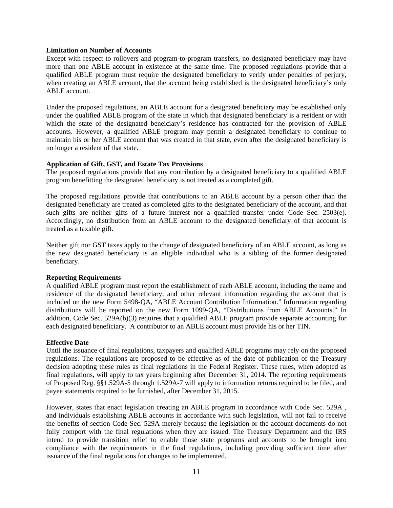#### **Limitation on Number of Accounts**

Except with respect to rollovers and program-to-program transfers, no designated beneficiary may have more than one ABLE account in existence at the same time. The proposed regulations provide that a qualified ABLE program must require the designated beneficiary to verify under penalties of perjury, when creating an ABLE account, that the account being established is the designated beneficiary's only ABLE account.

Under the proposed regulations, an ABLE account for a designated beneficiary may be established only under the qualified ABLE program of the state in which that designated beneficiary is a resident or with which the state of the designated beneiciary's residence has contracted for the provision of ABLE accounts. However, a qualified ABLE program may permit a designated beneficiary to continue to maintain his or her ABLE account that was created in that state, even after the designated beneficiary is no longer a resident of that state.

#### **Application of Gift, GST, and Estate Tax Provisions**

The proposed regulations provide that any contribution by a designated beneficiary to a qualified ABLE program benefitting the designated beneficiary is not treated as a completed gift.

The proposed regulations provide that contributions to an ABLE account by a person other than the designated beneficiary are treated as completed gifts to the designated beneficiary of the account, and that such gifts are neither gifts of a future interest nor a qualified transfer under Code Sec. 2503(e). Accordingly, no distribution from an ABLE account to the designated beneficiary of that account is treated as a taxable gift.

Neither gift nor GST taxes apply to the change of designated beneficiary of an ABLE account, as long as the new designated beneficiary is an eligible individual who is a sibling of the former designated beneficiary.

#### **Reporting Requirements**

A qualified ABLE program must report the establishment of each ABLE account, including the name and residence of the designated beneficiary, and other relevant information regarding the account that is included on the new Form 5498-QA, "ABLE Account Contribution Information." Information regarding distributions will be reported on the new Form 1099-QA, "Distributions from ABLE Accounts." In addition, Code Sec. 529A(b)(3) requires that a qualified ABLE program provide separate accounting for each designated beneficiary. A contributor to an ABLE account must provide his or her TIN.

#### **Effective Date**

Until the issuance of final regulations, taxpayers and qualified ABLE programs may rely on the proposed regulations. The regulations are proposed to be effective as of the date of publication of the Treasury decision adopting these rules as final regulations in the Federal Register. These rules, when adopted as final regulations, will apply to tax years beginning after December 31, 2014. The reporting requirements of Proposed Reg. §§1.529A-5 through 1.529A-7 will apply to information returns required to be filed, and payee statements required to be furnished, after December 31, 2015.

However, states that enact legislation creating an ABLE program in accordance with Code Sec. 529A , and individuals establishing ABLE accounts in accordance with such legislation, will not fail to receive the benefits of section Code Sec. 529A merely because the legislation or the account documents do not fully comport with the final regulations when they are issued. The Treasury Department and the IRS intend to provide transition relief to enable those state programs and accounts to be brought into compliance with the requirements in the final regulations, including providing sufficient time after issuance of the final regulations for changes to be implemented.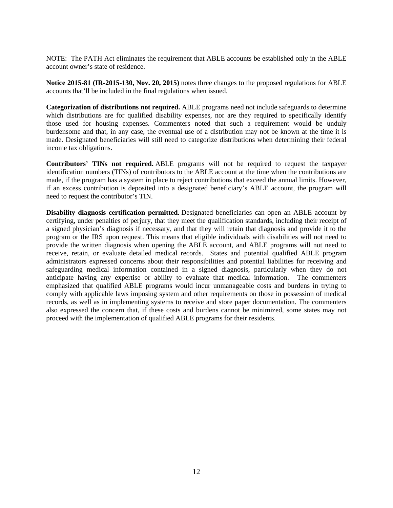NOTE: The PATH Act eliminates the requirement that ABLE accounts be established only in the ABLE account owner's state of residence.

**Notice 2015-81 (IR-2015-130, Nov. 20, 2015)** notes three changes to the proposed regulations for ABLE accounts that'll be included in the final regulations when issued.

**Categorization of distributions not required.** ABLE programs need not include safeguards to determine which distributions are for qualified disability expenses, nor are they required to specifically identify those used for housing expenses. Commenters noted that such a requirement would be unduly burdensome and that, in any case, the eventual use of a distribution may not be known at the time it is made. Designated beneficiaries will still need to categorize distributions when determining their federal income tax obligations.

**Contributors' TINs not required.** ABLE programs will not be required to request the taxpayer identification numbers (TINs) of contributors to the ABLE account at the time when the contributions are made, if the program has a system in place to reject contributions that exceed the annual limits. However, if an excess contribution is deposited into a designated beneficiary's ABLE account, the program will need to request the contributor's TIN.

**Disability diagnosis certification permitted.** Designated beneficiaries can open an ABLE account by certifying, under penalties of perjury, that they meet the qualification standards, including their receipt of a signed physician's diagnosis if necessary, and that they will retain that diagnosis and provide it to the program or the IRS upon request. This means that eligible individuals with disabilities will not need to provide the written diagnosis when opening the ABLE account, and ABLE programs will not need to receive, retain, or evaluate detailed medical records. States and potential qualified ABLE program administrators expressed concerns about their responsibilities and potential liabilities for receiving and safeguarding medical information contained in a signed diagnosis, particularly when they do not anticipate having any expertise or ability to evaluate that medical information. The commenters emphasized that qualified ABLE programs would incur unmanageable costs and burdens in trying to comply with applicable laws imposing system and other requirements on those in possession of medical records, as well as in implementing systems to receive and store paper documentation. The commenters also expressed the concern that, if these costs and burdens cannot be minimized, some states may not proceed with the implementation of qualified ABLE programs for their residents.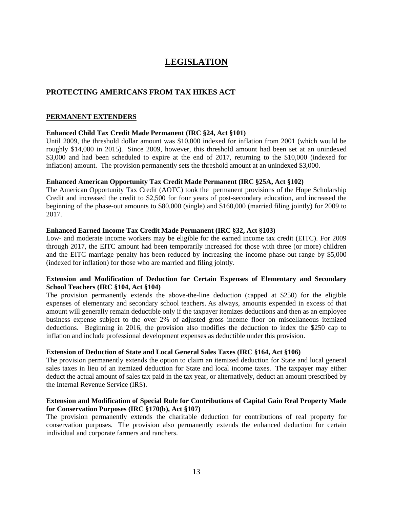## **LEGISLATION**

## **PROTECTING AMERICANS FROM TAX HIKES ACT**

## **PERMANENT EXTENDERS**

## **Enhanced Child Tax Credit Made Permanent (IRC §24, Act §101)**

Until 2009, the threshold dollar amount was \$10,000 indexed for inflation from 2001 (which would be roughly \$14,000 in 2015). Since 2009, however, this threshold amount had been set at an unindexed \$3,000 and had been scheduled to expire at the end of 2017, returning to the \$10,000 (indexed for inflation) amount. The provision permanently sets the threshold amount at an unindexed \$3,000.

## **Enhanced American Opportunity Tax Credit Made Permanent (IRC §25A, Act §102)**

The American Opportunity Tax Credit (AOTC) took the permanent provisions of the Hope Scholarship Credit and increased the credit to \$2,500 for four years of post-secondary education, and increased the beginning of the phase-out amounts to \$80,000 (single) and \$160,000 (married filing jointly) for 2009 to 2017.

## **Enhanced Earned Income Tax Credit Made Permanent (IRC §32, Act §103)**

Low- and moderate income workers may be eligible for the earned income tax credit (EITC). For 2009 through 2017, the EITC amount had been temporarily increased for those with three (or more) children and the EITC marriage penalty has been reduced by increasing the income phase-out range by \$5,000 (indexed for inflation) for those who are married and filing jointly.

## **Extension and Modification of Deduction for Certain Expenses of Elementary and Secondary School Teachers (IRC §104, Act §104)**

The provision permanently extends the above-the-line deduction (capped at \$250) for the eligible expenses of elementary and secondary school teachers. As always, amounts expended in excess of that amount will generally remain deductible only if the taxpayer itemizes deductions and then as an employee business expense subject to the over 2% of adjusted gross income floor on miscellaneous itemized deductions. Beginning in 2016, the provision also modifies the deduction to index the \$250 cap to inflation and include professional development expenses as deductible under this provision.

#### **Extension of Deduction of State and Local General Sales Taxes (IRC §164, Act §106)**

The provision permanently extends the option to claim an itemized deduction for State and local general sales taxes in lieu of an itemized deduction for State and local income taxes. The taxpayer may either deduct the actual amount of sales tax paid in the tax year, or alternatively, deduct an amount prescribed by the Internal Revenue Service (IRS).

## **Extension and Modification of Special Rule for Contributions of Capital Gain Real Property Made for Conservation Purposes (IRC §170(b), Act §107)**

The provision permanently extends the charitable deduction for contributions of real property for conservation purposes. The provision also permanently extends the enhanced deduction for certain individual and corporate farmers and ranchers.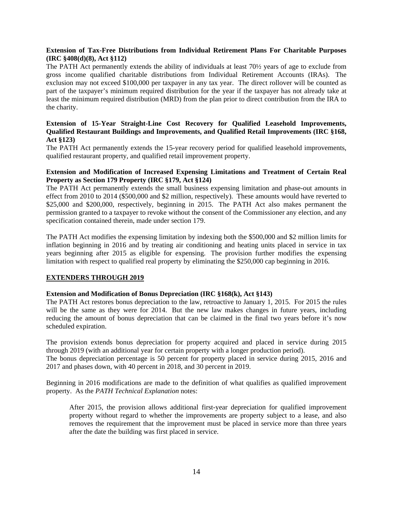## **Extension of Tax-Free Distributions from Individual Retirement Plans For Charitable Purposes (IRC §408(d)(8), Act §112)**

The PATH Act permanently extends the ability of individuals at least 70½ years of age to exclude from gross income qualified charitable distributions from Individual Retirement Accounts (IRAs). The exclusion may not exceed \$100,000 per taxpayer in any tax year. The direct rollover will be counted as part of the taxpayer's minimum required distribution for the year if the taxpayer has not already take at least the minimum required distribution (MRD) from the plan prior to direct contribution from the IRA to the charity.

## **Extension of 15-Year Straight-Line Cost Recovery for Qualified Leasehold Improvements, Qualified Restaurant Buildings and Improvements, and Qualified Retail Improvements (IRC §168, Act §123)**

The PATH Act permanently extends the 15-year recovery period for qualified leasehold improvements, qualified restaurant property, and qualified retail improvement property.

## **Extension and Modification of Increased Expensing Limitations and Treatment of Certain Real Property as Section 179 Property (IRC §179, Act §124)**

The PATH Act permanently extends the small business expensing limitation and phase-out amounts in effect from 2010 to 2014 (\$500,000 and \$2 million, respectively). These amounts would have reverted to \$25,000 and \$200,000, respectively, beginning in 2015. The PATH Act also makes permanent the permission granted to a taxpayer to revoke without the consent of the Commissioner any election, and any specification contained therein, made under section 179.

The PATH Act modifies the expensing limitation by indexing both the \$500,000 and \$2 million limits for inflation beginning in 2016 and by treating air conditioning and heating units placed in service in tax years beginning after 2015 as eligible for expensing. The provision further modifies the expensing limitation with respect to qualified real property by eliminating the \$250,000 cap beginning in 2016.

## **EXTENDERS THROUGH 2019**

#### **Extension and Modification of Bonus Depreciation (IRC §168(k), Act §143)**

The PATH Act restores bonus depreciation to the law, retroactive to January 1, 2015. For 2015 the rules will be the same as they were for 2014. But the new law makes changes in future years, including reducing the amount of bonus depreciation that can be claimed in the final two years before it's now scheduled expiration.

The provision extends bonus depreciation for property acquired and placed in service during 2015 through 2019 (with an additional year for certain property with a longer production period). The bonus depreciation percentage is 50 percent for property placed in service during 2015, 2016 and 2017 and phases down, with 40 percent in 2018, and 30 percent in 2019.

Beginning in 2016 modifications are made to the definition of what qualifies as qualified improvement property. As the *PATH Technical Explanation* notes:

After 2015, the provision allows additional first-year depreciation for qualified improvement property without regard to whether the improvements are property subject to a lease, and also removes the requirement that the improvement must be placed in service more than three years after the date the building was first placed in service.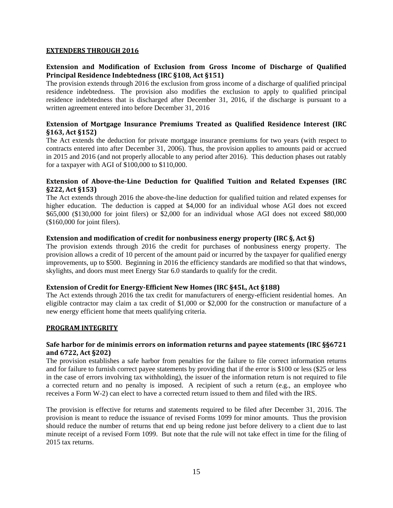## **EXTENDERS THROUGH 2016**

## **Extension and Modification of Exclusion from Gross Income of Discharge of Qualified Principal Residence Indebtedness (IRC §108, Act §151)**

The provision extends through 2016 the exclusion from gross income of a discharge of qualified principal residence indebtedness. The provision also modifies the exclusion to apply to qualified principal residence indebtedness that is discharged after December 31, 2016, if the discharge is pursuant to a written agreement entered into before December 31, 2016

## **Extension of Mortgage Insurance Premiums Treated as Qualified Residence Interest (IRC §163, Act §152)**

The Act extends the deduction for private mortgage insurance premiums for two years (with respect to contracts entered into after December 31, 2006). Thus, the provision applies to amounts paid or accrued in 2015 and 2016 (and not properly allocable to any period after 2016). This deduction phases out ratably for a taxpayer with AGI of \$100,000 to \$110,000.

## **Extension of AbovetheLine Deduction for Qualified Tuition and Related Expenses (IRC §222, Act §153)**

The Act extends through 2016 the above-the-line deduction for qualified tuition and related expenses for higher education. The deduction is capped at \$4,000 for an individual whose AGI does not exceed \$65,000 (\$130,000 for joint filers) or \$2,000 for an individual whose AGI does not exceed \$80,000 (\$160,000 for joint filers).

## **Extension and modification of credit for nonbusiness energy property (IRC §, Act §)**

The provision extends through 2016 the credit for purchases of nonbusiness energy property. The provision allows a credit of 10 percent of the amount paid or incurred by the taxpayer for qualified energy improvements, up to \$500. Beginning in 2016 the efficiency standards are modified so that that windows, skylights, and doors must meet Energy Star 6.0 standards to qualify for the credit.

## **Extension of Credit for EnergyEfficient New Homes (IRC §45L, Act §188)**

The Act extends through 2016 the tax credit for manufacturers of energy-efficient residential homes. An eligible contractor may claim a tax credit of \$1,000 or \$2,000 for the construction or manufacture of a new energy efficient home that meets qualifying criteria.

## **PROGRAM INTEGRITY**

## **Safe harbor for de minimis errors on information returns and payee statements (IRC §§6721 and 6722, Act §202)**

The provision establishes a safe harbor from penalties for the failure to file correct information returns and for failure to furnish correct payee statements by providing that if the error is \$100 or less (\$25 or less in the case of errors involving tax withholding), the issuer of the information return is not required to file a corrected return and no penalty is imposed. A recipient of such a return (e.g., an employee who receives a Form W-2) can elect to have a corrected return issued to them and filed with the IRS.

The provision is effective for returns and statements required to be filed after December 31, 2016. The provision is meant to reduce the issuance of revised Forms 1099 for minor amounts. Thus the provision should reduce the number of returns that end up being redone just before delivery to a client due to last minute receipt of a revised Form 1099. But note that the rule will not take effect in time for the filing of 2015 tax returns.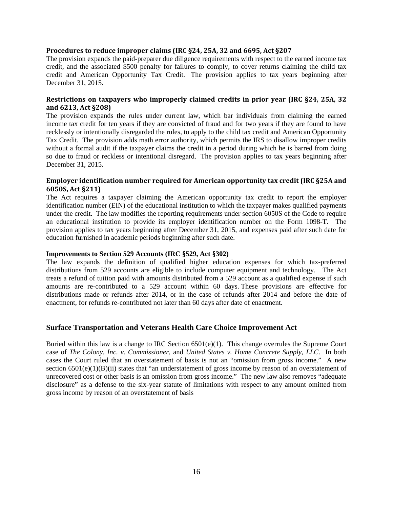#### **Procedures to reduce improper claims (IRC §24, 25A, 32 and 6695, Act §207**

The provision expands the paid-preparer due diligence requirements with respect to the earned income tax credit, and the associated \$500 penalty for failures to comply, to cover returns claiming the child tax credit and American Opportunity Tax Credit. The provision applies to tax years beginning after December 31, 2015.

## **Restrictions on taxpayers who improperly claimed credits in prior year (IRC §24, 25A, 32 and 6213, Act §208)**

The provision expands the rules under current law, which bar individuals from claiming the earned income tax credit for ten years if they are convicted of fraud and for two years if they are found to have recklessly or intentionally disregarded the rules, to apply to the child tax credit and American Opportunity Tax Credit. The provision adds math error authority, which permits the IRS to disallow improper credits without a formal audit if the taxpayer claims the credit in a period during which he is barred from doing so due to fraud or reckless or intentional disregard. The provision applies to tax years beginning after December 31, 2015.

## **Employer identification number required for American opportunity tax credit (IRC §25A and 6050S, Act §211)**

The Act requires a taxpayer claiming the American opportunity tax credit to report the employer identification number (EIN) of the educational institution to which the taxpayer makes qualified payments under the credit. The law modifies the reporting requirements under section 6050S of the Code to require an educational institution to provide its employer identification number on the Form 1098-T. The provision applies to tax years beginning after December 31, 2015, and expenses paid after such date for education furnished in academic periods beginning after such date.

#### **Improvements to Section 529 Accounts (IRC §529, Act §302)**

The law expands the definition of qualified higher education expenses for which tax-preferred distributions from 529 accounts are eligible to include computer equipment and technology. The Act treats a refund of tuition paid with amounts distributed from a 529 account as a qualified expense if such amounts are re-contributed to a 529 account within 60 days. These provisions are effective for distributions made or refunds after 2014, or in the case of refunds after 2014 and before the date of enactment, for refunds re-contributed not later than 60 days after date of enactment.

## **Surface Transportation and Veterans Health Care Choice Improvement Act**

Buried within this law is a change to IRC Section  $6501(e)(1)$ . This change overrules the Supreme Court case of *The Colony, Inc. v. Commissioner*, and *United States v. Home Concrete Supply, LLC*. In both cases the Court ruled that an overstatement of basis is not an "omission from gross income." A new section 6501(e)(1)(B)(ii) states that "an understatement of gross income by reason of an overstatement of unrecovered cost or other basis is an omission from gross income." The new law also removes "adequate disclosure" as a defense to the six-year statute of limitations with respect to any amount omitted from gross income by reason of an overstatement of basis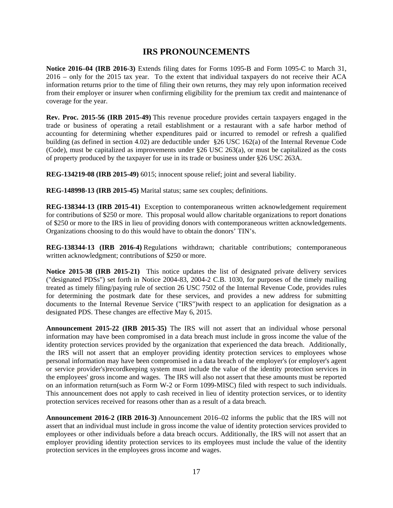## **IRS PRONOUNCEMENTS**

**Notice 2016–04 (IRB 2016-3)** Extends filing dates for Forms 1095-B and Form 1095-C to March 31, 2016 – only for the 2015 tax year. To the extent that individual taxpayers do not receive their ACA information returns prior to the time of filing their own returns, they may rely upon information received from their employer or insurer when confirming eligibility for the premium tax credit and maintenance of coverage for the year.

**Rev. Proc. 2015-56 (IRB 2015-49)** This revenue procedure provides certain taxpayers engaged in the trade or business of operating a retail establishment or a restaurant with a safe harbor method of accounting for determining whether expenditures paid or incurred to remodel or refresh a qualified building (as defined in section 4.02) are deductible under §26 USC 162(a) of the Internal Revenue Code (Code), must be capitalized as improvements under §26 USC 263(a), or must be capitalized as the costs of property produced by the taxpayer for use in its trade or business under §26 USC 263A.

**REG-134219-08 (IRB 2015-49)** 6015; innocent spouse relief; joint and several liability.

**REG-148998-13 (IRB 2015-45)** Marital status; same sex couples; definitions.

**REG-138344-13 (IRB 2015-41)** Exception to contemporaneous written acknowledgement requirement for contributions of \$250 or more. This proposal would allow charitable organizations to report donations of \$250 or more to the IRS in lieu of providing donors with contemporaneous written acknowledgements. Organizations choosing to do this would have to obtain the donors' TIN's.

**REG-138344-13 (IRB 2016-4)** Regulations withdrawn; charitable contributions; contemporaneous written acknowledgment; contributions of \$250 or more.

**Notice 2015-38 (IRB 2015-21)** This notice updates the list of designated private delivery services ("designated PDSs") set forth in Notice 2004-83, 2004-2 C.B. 1030, for purposes of the timely mailing treated as timely filing/paying rule of section 26 USC 7502 of the Internal Revenue Code, provides rules for determining the postmark date for these services, and provides a new address for submitting documents to the Internal Revenue Service ("IRS")with respect to an application for designation as a designated PDS. These changes are effective May 6, 2015.

**Announcement 2015-22 (IRB 2015-35)** The IRS will not assert that an individual whose personal information may have been compromised in a data breach must include in gross income the value of the identity protection services provided by the organization that experienced the data breach. Additionally, the IRS will not assert that an employer providing identity protection services to employees whose personal information may have been compromised in a data breach of the employer's (or employer's agent or service provider's)recordkeeping system must include the value of the identity protection services in the employees' gross income and wages. The IRS will also not assert that these amounts must be reported on an information return(such as Form W-2 or Form 1099-MISC) filed with respect to such individuals. This announcement does not apply to cash received in lieu of identity protection services, or to identity protection services received for reasons other than as a result of a data breach.

**Announcement 2016-2 (IRB 2016-3)** Announcement 2016–02 informs the public that the IRS will not assert that an individual must include in gross income the value of identity protection services provided to employees or other individuals before a data breach occurs. Additionally, the IRS will not assert that an employer providing identity protection services to its employees must include the value of the identity protection services in the employees gross income and wages.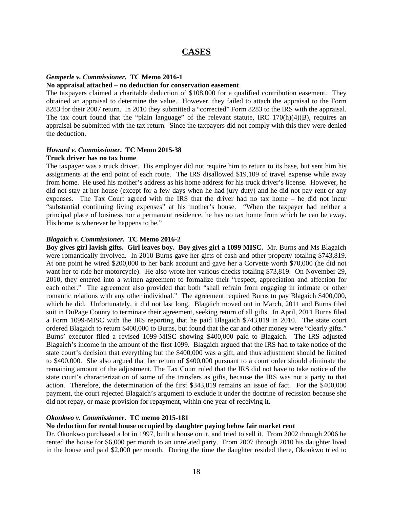## **CASES**

#### *Gemperle v. Commissioner***. TC Memo 2016-1**

#### **No appraisal attached – no deduction for conservation easement**

The taxpayers claimed a charitable deduction of \$108,000 for a qualified contribution easement. They obtained an appraisal to determine the value. However, they failed to attach the appraisal to the Form 8283 for their 2007 return. In 2010 they submitted a "corrected" Form 8283 to the IRS with the appraisal. The tax court found that the "plain language" of the relevant statute, IRC 170(h)(4)(B), requires an appraisal be submitted with the tax return. Since the taxpayers did not comply with this they were denied the deduction.

#### *Howard v. Commissioner***. TC Memo 2015-38 Truck driver has no tax home**

The taxpayer was a truck driver. His employer did not require him to return to its base, but sent him his assignments at the end point of each route. The IRS disallowed \$19,109 of travel expense while away from home. He used his mother's address as his home address for his truck driver's license. However, he did not stay at her house (except for a few days when he had jury duty) and he did not pay rent or any expenses. The Tax Court agreed with the IRS that the driver had no tax home – he did not incur "substantial continuing living expenses" at his mother's house. "When the taxpayer had neither a principal place of business nor a permanent residence, he has no tax home from which he can be away. His home is wherever he happens to be."

#### *Blagaich v. Commissioner***. TC Memo 2016-2**

**Boy gives girl lavish gifts. Girl leaves boy. Boy gives girl a 1099 MISC.** Mr. Burns and Ms Blagaich were romantically involved. In 2010 Burns gave her gifts of cash and other property totaling \$743,819. At one point he wired \$200,000 to her bank account and gave her a Corvette worth \$70,000 (he did not want her to ride her motorcycle). He also wrote her various checks totaling \$73,819. On November 29, 2010, they entered into a written agreement to formalize their "respect, appreciation and affection for each other." The agreement also provided that both "shall refrain from engaging in intimate or other romantic relations with any other individual." The agreement required Burns to pay Blagaich \$400,000, which he did. Unfortunately, it did not last long. Blagaich moved out in March, 2011 and Burns filed suit in DuPage County to terminate their agreement, seeking return of all gifts. In April, 2011 Burns filed a Form 1099-MISC with the IRS reporting that he paid Blagaich \$743,819 in 2010. The state court ordered Blagaich to return \$400,000 to Burns, but found that the car and other money were "clearly gifts." Burns' executor filed a revised 1099-MISC showing \$400,000 paid to Blagaich. The IRS adjusted Blagaich's income in the amount of the first 1099. Blagaich argued that the IRS had to take notice of the state court's decision that everything but the \$400,000 was a gift, and thus adjustment should be limited to \$400,000. She also argued that her return of \$400,000 pursuant to a court order should eliminate the remaining amount of the adjustment. The Tax Court ruled that the IRS did not have to take notice of the state court's characterization of some of the transfers as gifts, because the IRS was not a party to that action. Therefore, the determination of the first \$343,819 remains an issue of fact. For the \$400,000 payment, the court rejected Blagaich's argument to exclude it under the doctrine of recission because she did not repay, or make provision for repayment, within one year of receiving it.

#### *Okonkwo v. Commissioner***. TC memo 2015-181**

#### **No deduction for rental house occupied by daughter paying below fair market rent**

Dr. Okonkwo purchased a lot in 1997, built a house on it, and tried to sell it. From 2002 through 2006 he rented the house for \$6,000 per month to an unrelated party. From 2007 through 2010 his daughter lived in the house and paid \$2,000 per month. During the time the daughter resided there, Okonkwo tried to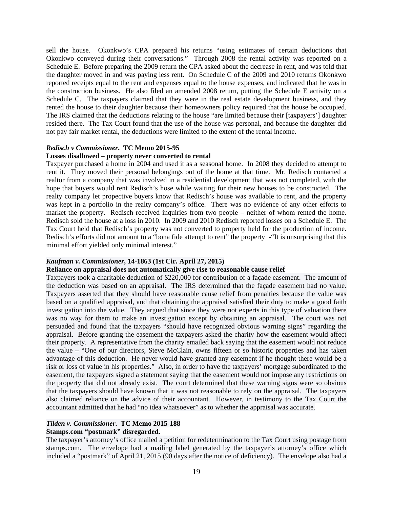sell the house. Okonkwo's CPA prepared his returns "using estimates of certain deductions that Okonkwo conveyed during their conversations." Through 2008 the rental activity was reported on a Schedule E. Before preparing the 2009 return the CPA asked about the decrease in rent, and was told that the daughter moved in and was paying less rent. On Schedule C of the 2009 and 2010 returns Okonkwo reported receipts equal to the rent and expenses equal to the house expenses, and indicated that he was in the construction business. He also filed an amended 2008 return, putting the Schedule E activity on a Schedule C. The taxpayers claimed that they were in the real estate development business, and they rented the house to their daughter because their homeowners policy required that the house be occupied. The IRS claimed that the deductions relating to the house "are limited because their [taxpayers'] daughter resided there. The Tax Court found that the use of the house was personal, and because the daughter did not pay fair market rental, the deductions were limited to the extent of the rental income.

#### *Redisch v Commissioner***. TC Memo 2015-95**

#### **Losses disallowed – property never converted to rental**

Taxpayer purchased a home in 2004 and used it as a seasonal home. In 2008 they decided to attempt to rent it. They moved their personal belongings out of the home at that time. Mr. Redisch contacted a realtor from a company that was involved in a residential development that was not completed, with the hope that buyers would rent Redisch's hose while waiting for their new houses to be constructed. The realty company let propective buyers know that Redisch's house was available to rent, and the property was kept in a portfolio in the realty company's office. There was no evidence of any other efforts to market the property. Redisch received inquiries from two people – neither of whom rented the home. Redisch sold the house at a loss in 2010. In 2009 and 2010 Redisch reported losses on a Schedule E. The Tax Court held that Redisch's property was not converted to property held for the production of income. Redisch's efforts did not amount to a "bona fide attempt to rent" the property - "It is unsurprising that this minimal effort yielded only minimal interest."

#### *Kaufman v. Commissioner***, 14-1863 (1st Cir. April 27, 2015)**

#### **Reliance on appraisal does not automatically give rise to reasonable cause relief**

Taxpayers took a charitable deduction of \$220,000 for contribution of a façade easement. The amount of the deduction was based on an appraisal. The IRS determined that the façade easement had no value. Taxpayers asserted that they should have reasonable cause relief from penalties because the value was based on a qualified appraisal, and that obtaining the appraisal satisfied their duty to make a good faith investigation into the value. They argued that since they were not experts in this type of valuation there was no way for them to make an investigation except by obtaining an appraisal. The court was not persuaded and found that the taxpayers "should have recognized obvious warning signs" regarding the appraisal. Before granting the easement the taxpayers asked the charity how the easement would affect their property. A representative from the charity emailed back saying that the easement would not reduce the value – "One of our directors, Steve McClain, owns fifteen or so historic properties and has taken advantage of this deduction. He never would have granted any easement if he thought there would be a risk or loss of value in his properties." Also, in order to have the taxpayers' mortgage subordinated to the easement, the taxpayers signed a statement saying that the easement would not impose any restrictions on the property that did not already exist. The court determined that these warning signs were so obvious that the taxpayers should have known that it was not reasonable to rely on the appraisal. The taxpayers also claimed reliance on the advice of their accountant. However, in testimony to the Tax Court the accountant admitted that he had "no idea whatsoever" as to whether the appraisal was accurate.

## *Tilden v. Commissioner***. TC Memo 2015-188**

## **Stamps.com "postmark" disregarded.**

The taxpayer's attorney's office mailed a petition for redetermination to the Tax Court using postage from stamps.com. The envelope had a mailing label generated by the taxpayer's attorney's office which included a "postmark" of April 21, 2015 (90 days after the notice of deficiency). The envelope also had a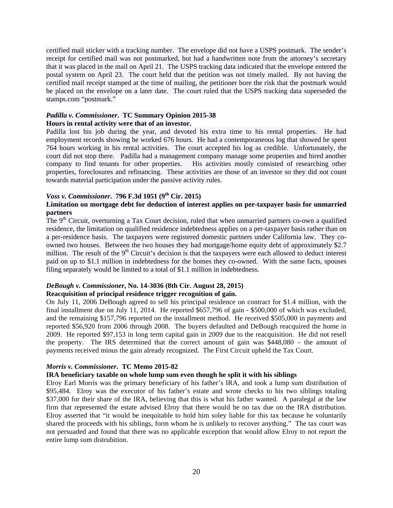certified mail sticker with a tracking number. The envelope did not have a USPS postmark. The sender's receipt for certified mail was not postmarked, but had a handwritten note from the attorney's secretary that it was placed in the mail on April 21. The USPS tracking data indicated that the envelope entered the postal system on April 23. The court held that the petition was not timely mailed. By not having the certified mail receipt stamped at the time of mailing, the petitioner bore the risk that the postmark would be placed on the envelope on a later date. The court ruled that the USPS tracking data superseded the stamps.com "postmark."

## *Padilla v. Commissioner***. TC Summary Opinion 2015-38 Hours in rental activity were that of an investor.**

Padilla lost his job during the year, and devoted his extra time to his rental properties. He had employment records showing he worked 676 hours. He had a contemporaneous log that showed he spent 764 hours working in his rental activities. The court accepted his log as credible. Unfortunately, the court did not stop there. Padilla had a management company manage some properties and hired another company to find tenants for other properties. His activities mostly consisted of researching other properties, foreclosures and refinancing. These activities are those of an investor so they did not count towards material participation under the passive activity rules.

## *Voss v. Commissioner***. 796 F.3d 1051 (9th Cir. 2015)**

## **Limitation on mortgage debt for deduction of interest applies on per-taxpayer basis for unmarried partners**

The 9<sup>th</sup> Circuit, overturning a Tax Court decision, ruled that when unmarried partners co-own a qualified residence, the limitation on qualified residence indebtedness applies on a per-taxpayer basis rather than on a per-residence basis. The taxpayers were registered domestic partners under California law. They coowned two houses. Between the two houses they had mortgage/home equity debt of approximately \$2.7 million. The result of the  $9<sup>th</sup>$  Circuit's decision is that the taxpayers were each allowed to deduct interest paid on up to \$1.1 million in indebtedness for the homes they co-owned. With the same facts, spouses filing separately would be limited to a total of \$1.1 million in indebtedness.

## *DeBough v. Commissioner***, No. 14-3036 (8th Cir. August 28, 2015)**

## **Reacquisition of principal residence trigger recognition of gain.**

On July 11, 2006 DeBough agreed to sell his principal residence on contract for \$1.4 million, with the final installment due on July 11, 2014. He reported \$657,796 of gain - \$500,000 of which was excluded, and the remaining \$157,796 reported on the installment method. He received \$505,000 in payments and reported \$56,920 from 2006 through 2008. The buyers defaulted and DeBough reacquired the home in 2009. He reported \$97,153 in long term capital gain in 2009 due to the reacquisition. He did not resell the property. The IRS determined that the correct amount of gain was \$448,080 – the amount of payments received minus the gain already recognized. The First Circuit upheld the Tax Court.

## *Morris v. Commissioner***. TC Memo 2015-82**

## **IRA beneficiary taxable on whole lump sum even though he split it with his siblings**

Elroy Earl Morris was the primary beneficiary of his father's IRA, and took a lump sum distribution of \$95,484. Elroy was the executor of his father's estate and wrote checks to his two siblings totaling \$37,000 for their share of the IRA, believing that this is what his father wanted. A paralegal at the law firm that represented the estate advised Elroy that there would be no tax due on the IRA distribution. Elroy asserted that "it would be inequitable to hold him soley liable for this tax because he voluntarily shared the proceeds with his siblings, form whom he is unlikely to recover anything." The tax court was not persuaded and found that there was no applicable exception that would allow Elroy to not report the entire lump sum distrubition.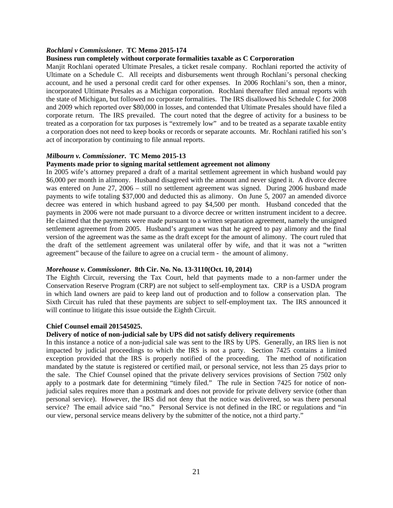#### *Rochlani v Commissioner***. TC Memo 2015-174**

#### **Business run completely without corporate formalities taxable as C Corpororation**

Manjit Rochlani operated Ultimate Presales, a ticket resale company. Rochlani reported the activity of Ultimate on a Schedule C. All receipts and disbursements went through Rochlani's personal checking account, and he used a personal credit card for other expenses. In 2006 Rochlani's son, then a minor, incorporated Ultimate Presales as a Michigan corporation. Rochlani thereafter filed annual reports with the state of Michigan, but followed no corporate formalities. The IRS disallowed his Schedule C for 2008 and 2009 which reported over \$80,000 in losses, and contended that Ultimate Presales should have filed a corporate return. The IRS prevailed. The court noted that the degree of activity for a business to be treated as a corporation for tax purposes is "extremely low" and to be treated as a separate taxable entity a corporation does not need to keep books or records or separate accounts. Mr. Rochlani ratified his son's act of incorporation by continuing to file annual reports.

#### *Milbourn v. Commissioner***. TC Memo 2015-13**

## **Payments made prior to signing marital settlement agreement not alimony**

In 2005 wife's attorney prepared a draft of a marital settlement agreement in which husband would pay \$6,000 per month in alimony. Husband disagreed with the amount and never signed it. A divorce decree was entered on June 27, 2006 – still no settlement agreement was signed. During 2006 husband made payments to wife totaling \$37,000 and deducted this as alimony. On June 5, 2007 an amended divorce decree was entered in which husband agreed to pay \$4,500 per month. Husband conceded that the payments in 2006 were not made pursuant to a divorce decree or written instrument incident to a decree. He claimed that the payments were made pursuant to a written separation agreement, namely the unsigned settlement agreement from 2005. Husband's argument was that he agreed to pay alimony and the final version of the agreement was the same as the draft except for the amount of alimony. The court ruled that the draft of the settlement agreement was unilateral offer by wife, and that it was not a "written agreement" because of the failure to agree on a crucial term - the amount of alimony.

#### *Morehouse v. Commissioner***. 8th Cir. No. No. 13-3110(Oct. 10, 2014)**

The Eighth Circuit, reversing the Tax Court, held that payments made to a non-farmer under the Conservation Reserve Program (CRP) are not subject to self-employment tax. CRP is a USDA program in which land owners are paid to keep land out of production and to follow a conservation plan. The Sixth Circuit has ruled that these payments are subject to self-employment tax. The IRS announced it will continue to litigate this issue outside the Eighth Circuit.

#### **Chief Counsel email 201545025.**

#### **Delivery of notice of non-judicial sale by UPS did not satisfy delivery requirements**

In this instance a notice of a non-judicial sale was sent to the IRS by UPS. Generally, an IRS lien is not impacted by judicial proceedings to which the IRS is not a party. Section 7425 contains a limited exception provided that the IRS is properly notified of the proceeding. The method of notification mandated by the statute is registered or certified mail, or personal service, not less than 25 days prior to the sale. The Chief Counsel opined that the private delivery services provisions of Section 7502 only apply to a postmark date for determining "timely filed." The rule in Section 7425 for notice of nonjudicial sales requires more than a postmark and does not provide for private delivery service (other than personal service). However, the IRS did not deny that the notice was delivered, so was there personal service? The email advice said "no." Personal Service is not defined in the IRC or regulations and "in our view, personal service means delivery by the submitter of the notice, not a third party."